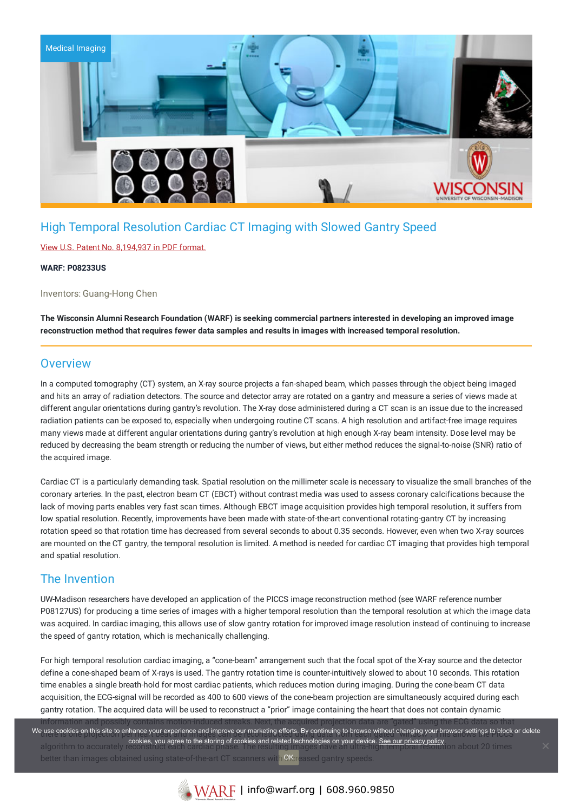

## High Temporal Resolution Cardiac CT Imaging with Slowed Gantry Speed

### View U.S. Patent No. [8,194,937](https://www.warf.org/wp-content/uploads/technologies/ipstatus/P08233US.PDF) in PDF format.

#### **WARF: P08233US**

Inventors: Guang-Hong Chen

The Wisconsin Alumni Research Foundation (WARF) is seeking commercial partners interested in developing an improved image **reconstruction method that requires fewer data samples and results in images with increased temporal resolution.**

### **Overview**

In a computed tomography (CT) system, an X-ray source projects a fan-shaped beam, which passes through the object being imaged and hits an array of radiation detectors. The source and detector array are rotated on a gantry and measure a series of views made at different angular orientations during gantry's revolution. The X-ray dose administered during a CT scan is an issue due to the increased radiation patients can be exposed to, especially when undergoing routine CT scans. A high resolution and artifact-free image requires many views made at different angular orientations during gantry's revolution at high enough X-ray beam intensity. Dose level may be reduced by decreasing the beam strength or reducing the number of views, but either method reduces the signal-to-noise (SNR) ratio of the acquired image.

Cardiac CT is a particularly demanding task. Spatial resolution on the millimeter scale is necessary to visualize the small branches of the coronary arteries. In the past, electron beam CT (EBCT) without contrast media was used to assess coronary calcifications because the lack of moving parts enables very fast scan times. Although EBCT image acquisition provides high temporal resolution, it suffers from low spatial resolution. Recently, improvements have been made with state-of-the-art conventional rotating-gantry CT by increasing rotation speed so that rotation time has decreased from several seconds to about 0.35 seconds. However, even when two X-ray sources are mounted on the CT gantry, the temporal resolution is limited. A method is needed for cardiac CT imaging that provides high temporal and spatial resolution.

### The Invention

UW-Madison researchers have developed an application of the PICCS image reconstruction method (see WARF reference number P08127US) for producing a time series of images with a higher temporal resolution than the temporal resolution at which the image data was acquired. In cardiac imaging, this allows use of slow gantry rotation for improved image resolution instead of continuing to increase the speed of gantry rotation, which is mechanically challenging.

For high temporal resolution cardiac imaging, a "cone-beam" arrangement such that the focal spot of the X-ray source and the detector define a cone-shaped beam of X-rays is used. The gantry rotation time is counter-intuitively slowed to about 10 seconds. This rotation time enables a single breath-hold for most cardiac patients, which reduces motion during imaging. During the cone-beam CT data acquisition, the ECG-signal will be recorded as 400 to 600 views of the cone-beam projection are simultaneously acquired during each gantry rotation. The acquired data will be used to reconstruct a "prior" image containing the heart that does not contain dynamic information and possibly contains motion-induced streaks. Next, the acquired projection data are "gated" using the ECG data so that

the cookies on this site to enhance your experience and improve our marketing enorts. By continuing to prowse without changing your prowser settings to plock of cookies, you agree to the storing of cookies and related technologies on your device. <u>See our privacy policy</u><br>algorithm to accurately cookies, you agree to the storing of cookies and related technologies on your device. <u></u> better than images obtained using state-of-the-art CT scanners with  $\mathsf{OK}$ reased gantry speeds. We use cookies on this site to enhance your experience and improve our marketing efforts. By continuing to browse without changing your browser settings to block or delete